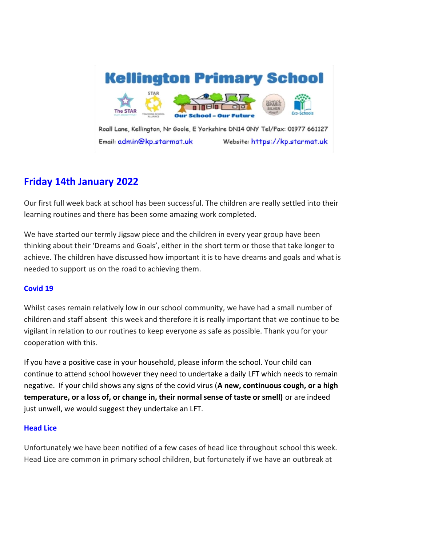

Roall Lane, Kellington, Nr Goole, E Yorkshire DN14 0NY Tel/Fax: 01977 661127 Email: admin@kp.starmat.uk Website: https://kp.starmat.uk

# **Friday 14th January 2022**

Our first full week back at school has been successful. The children are really settled into their learning routines and there has been some amazing work completed.

We have started our termly Jigsaw piece and the children in every year group have been thinking about their 'Dreams and Goals', either in the short term or those that take longer to achieve. The children have discussed how important it is to have dreams and goals and what is needed to support us on the road to achieving them.

# **Covid 19**

Whilst cases remain relatively low in our school community, we have had a small number of children and staff absent this week and therefore it is really important that we continue to be vigilant in relation to our routines to keep everyone as safe as possible. Thank you for your cooperation with this.

If you have a positive case in your household, please inform the school. Your child can continue to attend school however they need to undertake a daily LFT which needs to remain negative. If your child shows any signs of the covid virus (**A new, continuous cough, or a high temperature, or a loss of, or change in, their normal sense of taste or smell)** or are indeed just unwell, we would suggest they undertake an LFT.

# **Head Lice**

Unfortunately we have been notified of a few cases of head lice throughout school this week. Head Lice are common in primary school children, but fortunately if we have an outbreak at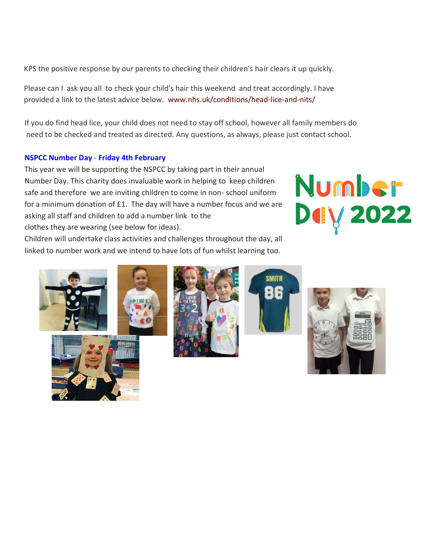KPS the positive response by our parents to checking their children's hair clears it up quickly.

Please can I ask you all to check your child's hair this weekend and treat accordingly. I have provided a link to the latest advice below. [www.nhs.uk/conditions/head-lice-and-nits/](https://www.nhs.uk/conditions/head-lice-and-nits/)

If you do find head lice, your child does not need to stay off school, however all family members do need to be checked and treated as directed. Any questions, as always, please just contact school.

## **NSPCC Number Day** - **Friday 4th February**

This year we will be supporting the NSPCC by taking part in their annual Number Day. This charity does invaluable work in helping to keep children safe and therefore we are inviting children to come in non- school uniform for a minimum donation of £1. The day will have a number focus and we are asking all staff and children to add a number link to the clothes they are wearing (see below for ideas).



Children will undertake class activities and challenges throughout the day, all linked to number work and we intend to have lots of fun whilst learning too.









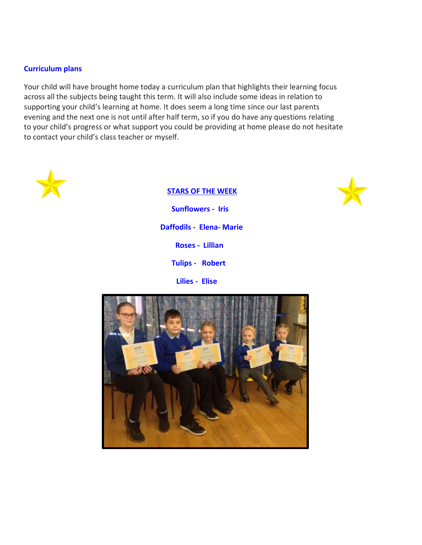## **Curriculum plans**

Your child will have brought home today a curriculum plan that highlights their learning focus across all the subjects being taught this term. It will also include some ideas in relation to supporting your child's learning at home. It does seem a long time since our last parents evening and the next one is not until after half term, so if you do have any questions relating to your child's progress or what support you could be providing at home please do not hesitate to contact your child's class teacher or myself.



#### **STARS OF THE WEEK**



 **Sunflowers - Iris Daffodils - Elena- Marie Roses - Lillian Tulips - Robert Lilies - Elise** 

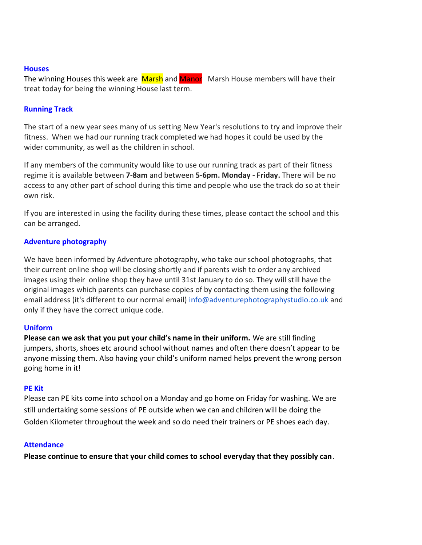#### **Houses**

The winning Houses this week are Marsh and Manor Marsh House members will have their treat today for being the winning House last term.

#### **Running Track**

The start of a new year sees many of us setting New Year's resolutions to try and improve their fitness. When we had our running track completed we had hopes it could be used by the wider community, as well as the children in school.

If any members of the community would like to use our running track as part of their fitness regime it is available between **7-8am** and between **5-6pm. Monday - Friday.** There will be no access to any other part of school during this time and people who use the track do so at their own risk.

If you are interested in using the facility during these times, please contact the school and this can be arranged.

## **Adventure photography**

We have been informed by Adventure photography, who take our school photographs, that their current online shop will be closing shortly and if parents wish to order any archived images using their online shop they have until 31st January to do so. They will still have the original images which parents can purchase copies of by contacting them using the following email address (it's different to our normal email) info@adventurephotographystudio.co.uk and only if they have the correct unique code.

## **Uniform**

**Please can we ask that you put your child's name in their uniform.** We are still finding jumpers, shorts, shoes etc around school without names and often there doesn't appear to be anyone missing them. Also having your child's uniform named helps prevent the wrong person going home in it!

#### **PE Kit**

Please can PE kits come into school on a Monday and go home on Friday for washing. We are still undertaking some sessions of PE outside when we can and children will be doing the Golden Kilometer throughout the week and so do need their trainers or PE shoes each day.

#### **Attendance**

**Please continue to ensure that your child comes to school everyday that they possibly can**.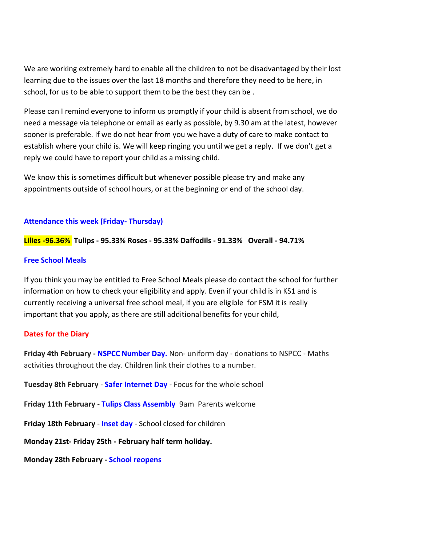We are working extremely hard to enable all the children to not be disadvantaged by their lost learning due to the issues over the last 18 months and therefore they need to be here, in school, for us to be able to support them to be the best they can be .

Please can I remind everyone to inform us promptly if your child is absent from school, we do need a message via telephone or email as early as possible, by 9.30 am at the latest, however sooner is preferable. If we do not hear from you we have a duty of care to make contact to establish where your child is. We will keep ringing you until we get a reply. If we don't get a reply we could have to report your child as a missing child.

We know this is sometimes difficult but whenever possible please try and make any appointments outside of school hours, or at the beginning or end of the school day.

# **Attendance this week (Friday- Thursday)**

**Lilies -96.36% Tulips - 95.33% Roses - 95.33% Daffodils - 91.33% Overall - 94.71%**

## **Free School Meals**

If you think you may be entitled to Free School Meals please do contact the school for further information on how to check your eligibility and apply. Even if your child is in KS1 and is currently receiving a universal free school meal, if you are eligible for FSM it is really important that you apply, as there are still additional benefits for your child,

# **Dates for the Diary**

**Friday 4th February - NSPCC Number Day.** Non- uniform day - donations to NSPCC - Maths activities throughout the day. Children link their clothes to a number.

**Tuesday 8th February** - **Safer Internet Day** - Focus for the whole school

**Friday 11th February** - **Tulips Class Assembly** 9am Parents welcome

**Friday 18th February** - **Inset day** - School closed for children

**Monday 21st- Friday 25th - February half term holiday.** 

**Monday 28th February - School reopens**